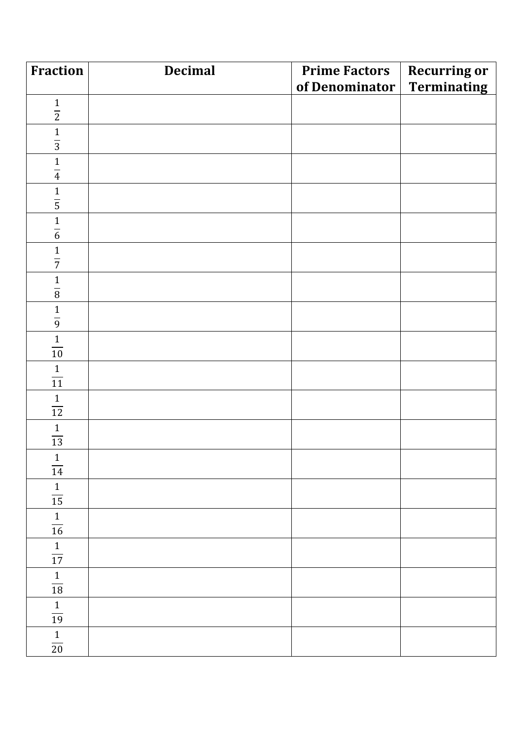| Fraction                           | <b>Decimal</b> | <b>Prime Factors</b>       | <b>Recurring or</b> |
|------------------------------------|----------------|----------------------------|---------------------|
|                                    |                | of Denominator Terminating |                     |
| $\frac{1}{2}$                      |                |                            |                     |
|                                    |                |                            |                     |
| $rac{1}{3}$                        |                |                            |                     |
|                                    |                |                            |                     |
| $\frac{1}{4}$                      |                |                            |                     |
| $\frac{1}{5}$                      |                |                            |                     |
|                                    |                |                            |                     |
| $\frac{1}{6}$                      |                |                            |                     |
| $\mathbf 1$<br>$\overline{7}$      |                |                            |                     |
| $\mathbf{1}$<br>$\overline{\bf 8}$ |                |                            |                     |
| $rac{1}{9}$                        |                |                            |                     |
| $\mathbf{1}$<br>$\overline{10}$    |                |                            |                     |
| $\frac{1}{11}$                     |                |                            |                     |
| $\frac{1}{12}$                     |                |                            |                     |
| $\frac{1}{13}$                     |                |                            |                     |
| $\frac{1}{14}$                     |                |                            |                     |
| $1\,$<br>$\overline{15}$           |                |                            |                     |
| $\mathbf{1}$<br>$\overline{16}$    |                |                            |                     |
| $\frac{1}{17}$                     |                |                            |                     |
| $\frac{1}{18}$                     |                |                            |                     |
| $\frac{1}{19}$                     |                |                            |                     |
| $\frac{1}{20}$                     |                |                            |                     |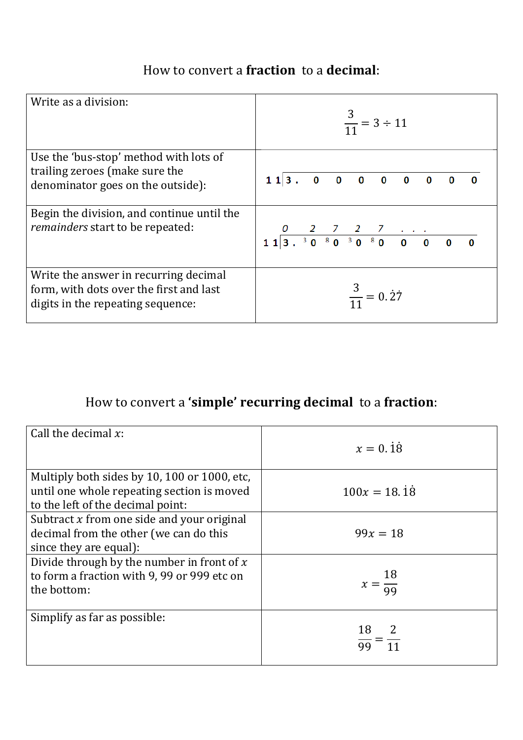## How to convert a **fraction** to a **decimal**:

| Write as a division:                                                                                                  | $\frac{3}{11}$ = 3 ÷ 11  |
|-----------------------------------------------------------------------------------------------------------------------|--------------------------|
| Use the 'bus-stop' method with lots of<br>trailing zeroes (make sure the<br>denominator goes on the outside):         | 113.00000000<br>$\bf{0}$ |
| Begin the division, and continue until the<br>remainders start to be repeated:                                        |                          |
| Write the answer in recurring decimal<br>form, with dots over the first and last<br>digits in the repeating sequence: | $\frac{3}{11} = 0.27$    |

## How to convert a **'simple' recurring decimal** to a **fraction**:

| Call the decimal $x$ :                                                                                                          | $x = 0.\dot{1}\dot{8}$                |
|---------------------------------------------------------------------------------------------------------------------------------|---------------------------------------|
| Multiply both sides by 10, 100 or 1000, etc.<br>until one whole repeating section is moved<br>to the left of the decimal point: | $100x = 18.\overline{18}$             |
| Subtract $x$ from one side and your original<br>decimal from the other (we can do this<br>since they are equal):                | $99x = 18$                            |
| Divide through by the number in front of $x$<br>to form a fraction with 9, 99 or 999 etc on<br>the bottom:                      | $x = \frac{18}{99}$                   |
| Simplify as far as possible:                                                                                                    | 18 2<br>$\frac{1}{99} = \frac{1}{11}$ |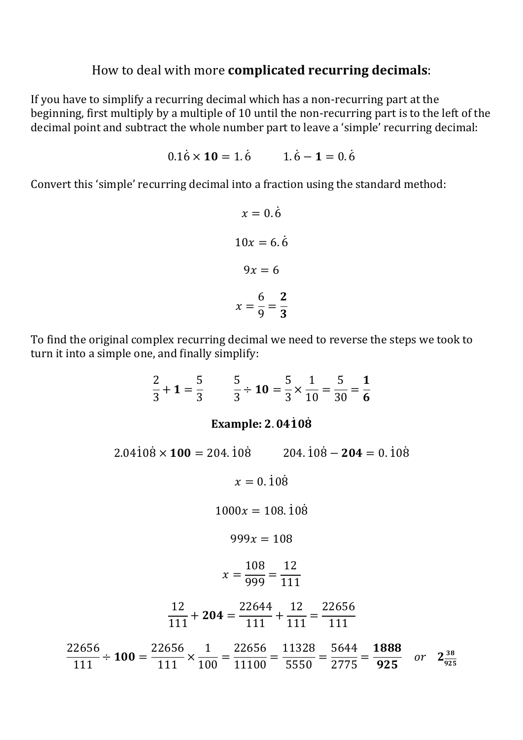## How to deal with more **complicated recurring decimals**:

If you have to simplify a recurring decimal which has a non-recurring part at the beginning, first multiply by a multiple of 10 until the non-recurring part is to the left of the decimal point and subtract the whole number part to leave a 'simple' recurring decimal:

$$
0.1\dot{6} \times 10 = 1.\dot{6} \qquad 1.\dot{6} - 1 = 0.\dot{6}
$$

Convert this 'simple' recurring decimal into a fraction using the standard method:

$$
x = 0.\dot{6}
$$

$$
10x = 6.\dot{6}
$$

$$
9x = 6
$$

$$
x = \frac{6}{9} = \frac{2}{3}
$$

To find the original complex recurring decimal we need to reverse the steps we took to turn it into a simple one, and finally simplify:

$$
\frac{2}{3} + 1 = \frac{5}{3} \qquad \frac{5}{3} \div 10 = \frac{5}{3} \times \frac{1}{10} = \frac{5}{30} = \frac{1}{6}
$$
  
Example: 2.04108

 $2.04108 \times 100 = 204.108$  2  $04.108 - 204 = 0.108$  $x = 0.\dot{1}0\dot{8}$  $1000x = 108.108$  $999x = 108$  $x =$ 108  $\frac{100}{999}$  =  $\frac{12}{111}$  $\frac{12}{111} + 204 =$ 22644  $\frac{2077}{111}$  +  $\frac{12}{111}$  = 22656  $\overline{111}$ 22656  $\frac{2030}{111} \div 100 =$ 22656  $111$  $\times$  $\overline{1}$  $\frac{1}{100}$  = 22656  $\frac{22030}{11100} =$ 11328  $\frac{11320}{5550}$  = 5644  $\frac{50 + 1}{2775} =$ 1888  $\frac{1000}{925}$  or  $2\frac{38}{925}$